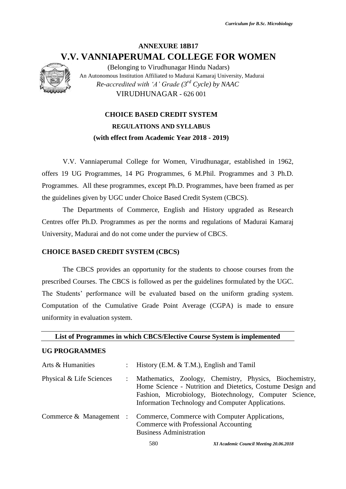# **ANNEXURE 18B17 V.V. VANNIAPERUMAL COLLEGE FOR WOMEN**



(Belonging to Virudhunagar Hindu Nadars) An Autonomous Institution Affiliated to Madurai Kamaraj University, Madurai *Re-accredited with 'A' Grade (3rd Cycle) by NAAC* VIRUDHUNAGAR - 626 001

# **CHOICE BASED CREDIT SYSTEM REGULATIONS AND SYLLABUS (with effect from Academic Year 2018 - 2019)**

V.V. Vanniaperumal College for Women, Virudhunagar, established in 1962, offers 19 UG Programmes, 14 PG Programmes, 6 M.Phil. Programmes and 3 Ph.D. Programmes. All these programmes, except Ph.D. Programmes, have been framed as per the guidelines given by UGC under Choice Based Credit System (CBCS).

The Departments of Commerce, English and History upgraded as Research Centres offer Ph.D. Programmes as per the norms and regulations of Madurai Kamaraj University, Madurai and do not come under the purview of CBCS.

# **CHOICE BASED CREDIT SYSTEM (CBCS)**

The CBCS provides an opportunity for the students to choose courses from the prescribed Courses. The CBCS is followed as per the guidelines formulated by the UGC. The Students' performance will be evaluated based on the uniform grading system. Computation of the Cumulative Grade Point Average (CGPA) is made to ensure uniformity in evaluation system.

**List of Programmes in which CBCS/Elective Course System is implemented**

#### **UG PROGRAMMES**

| Arts & Humanities        | : History (E.M. & T.M.), English and Tamil                                                                                                                                                                                            |  |  |  |  |  |
|--------------------------|---------------------------------------------------------------------------------------------------------------------------------------------------------------------------------------------------------------------------------------|--|--|--|--|--|
| Physical & Life Sciences | Mathematics, Zoology, Chemistry, Physics, Biochemistry,<br>Home Science - Nutrition and Dietetics, Costume Design and<br>Fashion, Microbiology, Biotechnology, Computer Science,<br>Information Technology and Computer Applications. |  |  |  |  |  |
|                          | Commerce & Management : Commerce, Commerce with Computer Applications,<br>Commerce with Professional Accounting<br><b>Business Administration</b>                                                                                     |  |  |  |  |  |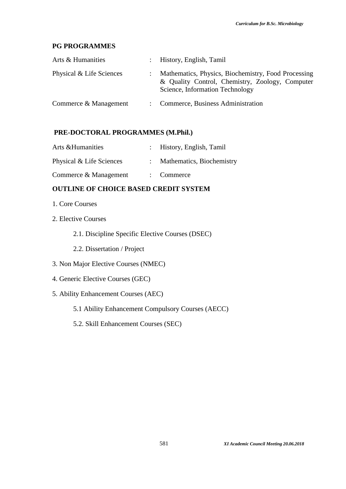# **PG PROGRAMMES**

| Arts & Humanities        | : History, English, Tamil                                                                                                                 |
|--------------------------|-------------------------------------------------------------------------------------------------------------------------------------------|
| Physical & Life Sciences | Mathematics, Physics, Biochemistry, Food Processing<br>& Quality Control, Chemistry, Zoology, Computer<br>Science, Information Technology |
| Commerce & Management    | Commerce, Business Administration                                                                                                         |

# **PRE-DOCTORAL PROGRAMMES (M.Phil.)**

| Arts & Humanities        | History, English, Tamil   |
|--------------------------|---------------------------|
| Physical & Life Sciences | Mathematics, Biochemistry |
| Commerce & Management    | $\therefore$ Commerce     |

# **OUTLINE OF CHOICE BASED CREDIT SYSTEM**

- 1. Core Courses
- 2. Elective Courses
	- 2.1. Discipline Specific Elective Courses (DSEC)
	- 2.2. Dissertation / Project
- 3. Non Major Elective Courses (NMEC)
- 4. Generic Elective Courses (GEC)
- 5. Ability Enhancement Courses (AEC)
	- 5.1 Ability Enhancement Compulsory Courses (AECC)
	- 5.2. Skill Enhancement Courses (SEC)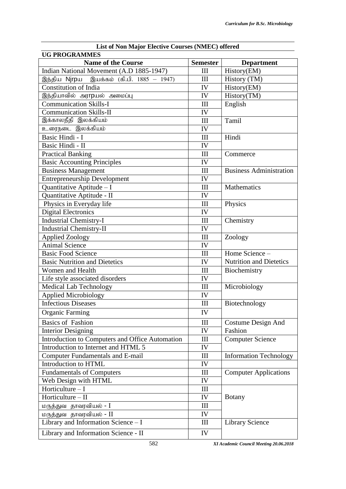| List of Non Major Elective Courses (NMEC) offered |                      |                                |  |  |  |  |
|---------------------------------------------------|----------------------|--------------------------------|--|--|--|--|
| <b>UG PROGRAMMES</b>                              |                      |                                |  |  |  |  |
| <b>Name of the Course</b>                         | <b>Semester</b>      | <b>Department</b>              |  |  |  |  |
| Indian National Movement (A.D 1885-1947)          | Ш                    | History(EM)                    |  |  |  |  |
| இந்திய Nirpய இயக்கம் (கி.பி. 1885 – 1947)         | III                  | History (TM)                   |  |  |  |  |
| <b>Constitution of India</b>                      | IV                   | History(EM)                    |  |  |  |  |
| இந்தியாவில் அர <b>rp</b> யல் அமைப்பு              | IV                   | History(TM)                    |  |  |  |  |
| <b>Communication Skills-I</b>                     | III                  | English                        |  |  |  |  |
| <b>Communication Skills-II</b>                    | IV                   |                                |  |  |  |  |
| இக்காலநீதி இலக்கியம்                              | III                  | Tamil                          |  |  |  |  |
| உரைநடை இலக்கியம்                                  | IV                   |                                |  |  |  |  |
| Basic Hindi - I                                   | III                  | Hindi                          |  |  |  |  |
| Basic Hindi - II                                  | IV                   |                                |  |  |  |  |
| <b>Practical Banking</b>                          | Ш                    | Commerce                       |  |  |  |  |
| <b>Basic Accounting Principles</b>                | IV                   |                                |  |  |  |  |
| <b>Business Management</b>                        | III                  | <b>Business Administration</b> |  |  |  |  |
| <b>Entrepreneurship Development</b>               | IV                   |                                |  |  |  |  |
| Quantitative Aptitude - I                         | III                  | Mathematics                    |  |  |  |  |
| Quantitative Aptitude - II                        | IV                   |                                |  |  |  |  |
| Physics in Everyday life                          | III                  | Physics                        |  |  |  |  |
| <b>Digital Electronics</b>                        | IV                   |                                |  |  |  |  |
| <b>Industrial Chemistry-I</b>                     | III                  | Chemistry                      |  |  |  |  |
| <b>Industrial Chemistry-II</b>                    | IV                   |                                |  |  |  |  |
| <b>Applied Zoology</b>                            | III                  | Zoology                        |  |  |  |  |
| <b>Animal Science</b>                             | IV                   |                                |  |  |  |  |
| <b>Basic Food Science</b>                         | III                  | Home Science -                 |  |  |  |  |
| <b>Basic Nutrition and Dietetics</b>              | IV                   | <b>Nutrition and Dietetics</b> |  |  |  |  |
| Women and Health                                  | III                  | Biochemistry                   |  |  |  |  |
| Life style associated disorders                   | IV                   |                                |  |  |  |  |
| Medical Lab Technology                            | III                  | Microbiology                   |  |  |  |  |
| <b>Applied Microbiology</b>                       | IV                   |                                |  |  |  |  |
| <b>Infectious Diseases</b>                        | $\overline{\rm III}$ | Biotechnology                  |  |  |  |  |
| <b>Organic Farming</b>                            | IV                   |                                |  |  |  |  |
| <b>Basics of Fashion</b>                          | III                  | Costume Design And             |  |  |  |  |
| <b>Interior Designing</b>                         | IV                   | Fashion                        |  |  |  |  |
| Introduction to Computers and Office Automation   | Ш                    | <b>Computer Science</b>        |  |  |  |  |
| Introduction to Internet and HTML 5               | IV                   |                                |  |  |  |  |
| <b>Computer Fundamentals and E-mail</b>           | Ш                    | <b>Information Technology</b>  |  |  |  |  |
| Introduction to HTML                              | IV                   |                                |  |  |  |  |
| <b>Fundamentals of Computers</b>                  | III                  | <b>Computer Applications</b>   |  |  |  |  |
| Web Design with HTML                              | IV                   |                                |  |  |  |  |
| Horticulture - I                                  | III                  |                                |  |  |  |  |
| Horticulture - II                                 | IV                   | <b>Botany</b>                  |  |  |  |  |
| மருத்துவ தாவரவியல் <b>-</b> I                     | III                  |                                |  |  |  |  |
| மருத்துவ தாவரவியல் - II                           | IV                   |                                |  |  |  |  |
| Library and Information Science $- I$             | Ш                    | <b>Library Science</b>         |  |  |  |  |
|                                                   |                      |                                |  |  |  |  |
| Library and Information Science - II              | IV                   |                                |  |  |  |  |

582 *XI Academic Council Meeting 20.06.2018*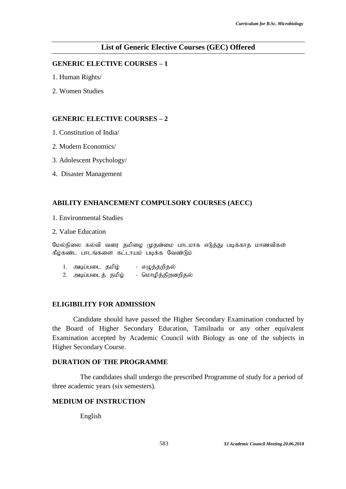# **List of Generic Elective Courses (GEC) Offered**

# **GENERIC ELECTIVE COURSES – 1**

- 1. Human Rights/
- 2. Women Studies

## **GENERIC ELECTIVE COURSES – 2**

- 1. Constitution of India/
- 2. Modern Economics/
- 3. Adolescent Psychology/
- 4. Disaster Management

# **ABILITY ENHANCEMENT COMPULSORY COURSES (AECC)**

- 1. Environmental Studies
- 2. Value Education

மேல்நிலை கல்வி வரை தமிழை முதன்மை பாடமாக எடுத்து படிக்காத மாணவிகள் கீழ்கண்ட பாடங்களை கட்டாயம் படிக்க வேண்டும்

- 1. அடிப்படை தமிழ் எழுத்தறிதல்
- 2. அடிப்படைத் தமிழ் மொழித்திறனறிதல்

# **ELIGIBILITY FOR ADMISSION**

Candidate should have passed the Higher Secondary Examination conducted by the Board of Higher Secondary Education, Tamilnadu or any other equivalent Examination accepted by Academic Council with Biology as one of the subjects in Higher Secondary Course.

# **DURATION OF THE PROGRAMME**

The candidates shall undergo the prescribed Programme of study for a period of three academic years (six semesters).

# **MEDIUM OF INSTRUCTION**

English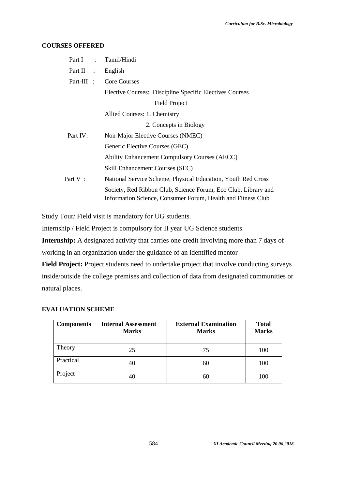#### **COURSES OFFERED**

| Part I :   | Tamil/Hindi                                                                                                                    |
|------------|--------------------------------------------------------------------------------------------------------------------------------|
| Part II :  | English                                                                                                                        |
| Part-III : | <b>Core Courses</b>                                                                                                            |
|            | Elective Courses: Discipline Specific Electives Courses                                                                        |
|            | Field Project                                                                                                                  |
|            | Allied Courses: 1. Chemistry                                                                                                   |
|            | 2. Concepts in Biology                                                                                                         |
| Part IV:   | Non-Major Elective Courses (NMEC)                                                                                              |
|            | Generic Elective Courses (GEC)                                                                                                 |
|            | <b>Ability Enhancement Compulsory Courses (AECC)</b>                                                                           |
|            | <b>Skill Enhancement Courses (SEC)</b>                                                                                         |
| Part V:    | National Service Scheme, Physical Education, Youth Red Cross                                                                   |
|            | Society, Red Ribbon Club, Science Forum, Eco Club, Library and<br>Information Science, Consumer Forum, Health and Fitness Club |
|            |                                                                                                                                |

Study Tour/ Field visit is mandatory for UG students.

Internship / Field Project is compulsory for II year UG Science students

**Internship:** A designated activity that carries one credit involving more than 7 days of working in an organization under the guidance of an identified mentor

**Field Project:** Project students need to undertake project that involve conducting surveys inside/outside the college premises and collection of data from designated communities or natural places.

# **EVALUATION SCHEME**

| <b>Components</b> | <b>Internal Assessment</b><br><b>Marks</b> | <b>External Examination</b><br><b>Marks</b> | <b>Total</b><br><b>Marks</b> |
|-------------------|--------------------------------------------|---------------------------------------------|------------------------------|
| Theory            | 25                                         | 75                                          | 100                          |
| Practical         | 40                                         | 60                                          | 100                          |
| Project           | 40                                         | 60                                          | 100                          |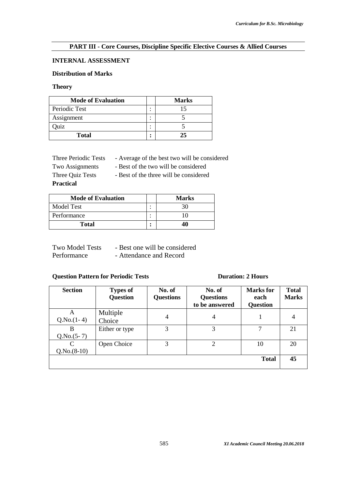# **PART III - Core Courses, Discipline Specific Elective Courses & Allied Courses**

# **INTERNAL ASSESSMENT**

# **Distribution of Marks**

#### **Theory**

| <b>Mode of Evaluation</b> |        | <b>Marks</b> |
|---------------------------|--------|--------------|
| Periodic Test             | ٠<br>٠ |              |
| Assignment                | ٠<br>٠ |              |
| <b>Juiz</b>               | ٠<br>٠ |              |
| <b>Total</b>              | ٠<br>٠ |              |

| Three Periodic Tests | - Average of the best two will be considered |
|----------------------|----------------------------------------------|
| Two Assignments      | - Best of the two will be considered         |
| Three Quiz Tests     | - Best of the three will be considered       |

**Practical**

| <b>Mode of Evaluation</b> |                          | <b>Marks</b> |
|---------------------------|--------------------------|--------------|
| Model Test                | $\overline{\phantom{a}}$ | 30           |
| Performance               | $\hat{\phantom{a}}$      |              |
| <b>Total</b>              | ٠                        | 40           |

| <b>Two Model Tests</b> | - Best one will be considered |
|------------------------|-------------------------------|
| Performance            | - Attendance and Record       |

# **Question Pattern for Periodic Tests Duration: 2 Hours**

| <b>Section</b>                               | <b>Types of</b><br><b>Question</b> | No. of<br><b>Questions</b> | No. of<br><b>Questions</b><br>to be answered | <b>Marks</b> for<br>each<br><b>Question</b> | <b>Total</b><br><b>Marks</b> |
|----------------------------------------------|------------------------------------|----------------------------|----------------------------------------------|---------------------------------------------|------------------------------|
| A<br>$Q.No.(1-4)$                            | Multiple<br>Choice                 | 4                          | 4                                            |                                             | 4                            |
| B<br>$Q.No.(5-7)$                            | Either or type                     | 3                          | 3                                            |                                             | 21                           |
| $\mathcal{C}_{\mathcal{C}}$<br>$Q.No.(8-10)$ | Open Choice                        | 3                          | $\overline{2}$                               | 10                                          | 20                           |
|                                              |                                    |                            |                                              | <b>Total</b>                                | 45                           |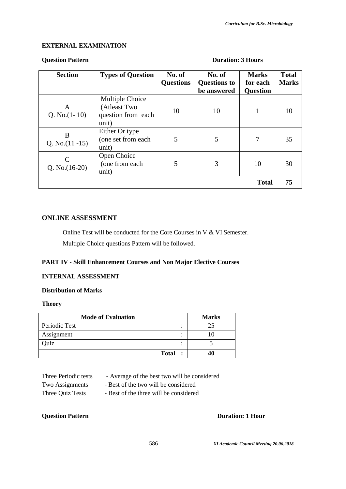## **EXTERNAL EXAMINATION**

#### **Question Pattern Duration: 3 Hours**

| <b>Section</b>          | <b>Types of Question</b>                                       | No. of<br><b>Questions</b> | No. of<br><b>Questions to</b><br>be answered | <b>Marks</b><br>for each<br><b>Question</b> | <b>Total</b><br><b>Marks</b> |
|-------------------------|----------------------------------------------------------------|----------------------------|----------------------------------------------|---------------------------------------------|------------------------------|
| A<br>Q. No. $(1-10)$    | Multiple Choice<br>(Atleast Two<br>question from each<br>unit) | 10                         | 10                                           | 1                                           | 10                           |
| B<br>Q. No. $(11 - 15)$ | Either Or type<br>(one set from each<br>unit)                  | 5                          | 5                                            | 7                                           | 35                           |
| Q. No. $(16-20)$        | Open Choice<br>(one from each<br>unit)                         | 5                          | 3                                            | 10                                          | 30                           |
|                         |                                                                |                            |                                              | <b>Total</b>                                | 75                           |

#### **ONLINE ASSESSMENT**

Online Test will be conducted for the Core Courses in V & VI Semester. Multiple Choice questions Pattern will be followed.

#### **PART IV - Skill Enhancement Courses and Non Major Elective Courses**

#### **INTERNAL ASSESSMENT**

#### **Distribution of Marks**

#### **Theory**

| <b>Mode of Evaluation</b> |   | <b>Marks</b> |
|---------------------------|---|--------------|
| Periodic Test             |   |              |
| Assignment                |   |              |
| Quiz                      |   |              |
| <b>Total</b>              | ٠ |              |

#### Three Periodic tests - Average of the best two will be considered

Two Assignments - Best of the two will be considered

Three Quiz Tests - Best of the three will be considered

# **Question Pattern Duration: 1 Hour**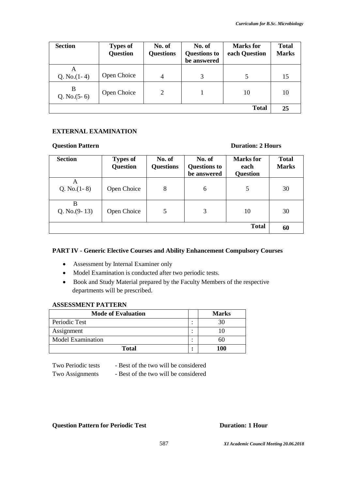| <b>Section</b>      | <b>Types of</b><br><b>Question</b> | No. of<br><b>Questions</b> | No. of<br><b>Questions to</b><br>be answered | <b>Marks</b> for<br>each Question | <b>Total</b><br><b>Marks</b> |
|---------------------|------------------------------------|----------------------------|----------------------------------------------|-----------------------------------|------------------------------|
| A<br>Q. No. $(1-4)$ | Open Choice                        | $\overline{4}$             | 3                                            | 5                                 | 15                           |
| B<br>Q. No. $(5-6)$ | Open Choice                        | 2                          |                                              | 10                                | 10                           |
|                     |                                    |                            |                                              | <b>Total</b>                      | 25                           |

# **EXTERNAL EXAMINATION**

#### **Question Pattern Duration: 2 Hours**

| <b>Section</b>       | <b>Types of</b><br><b>Question</b> | No. of<br><b>Questions</b> | No. of<br><b>Questions to</b><br>be answered | <b>Marks</b> for<br>each<br><b>Question</b> | <b>Total</b><br><b>Marks</b> |
|----------------------|------------------------------------|----------------------------|----------------------------------------------|---------------------------------------------|------------------------------|
| A<br>Q. No. $(1-8)$  | Open Choice                        | 8                          | 6                                            | 5                                           | 30                           |
| B<br>Q. No. $(9-13)$ | Open Choice                        | 5                          | 3                                            | 10                                          | 30                           |
|                      |                                    |                            |                                              | <b>Total</b>                                | 60                           |

# **PART IV - Generic Elective Courses and Ability Enhancement Compulsory Courses**

- Assessment by Internal Examiner only
- Model Examination is conducted after two periodic tests.
- Book and Study Material prepared by the Faculty Members of the respective departments will be prescribed.

#### **ASSESSMENT PATTERN**

| <b>Mode of Evaluation</b> | <b>Marks</b>                  |     |
|---------------------------|-------------------------------|-----|
| Periodic Test             | ٠                             |     |
| Assignment                | ٠                             |     |
| <b>Model Examination</b>  | ٠<br>$\overline{\phantom{a}}$ |     |
| <b>Total</b>              | ٠<br>٠                        | 100 |

Two Periodic tests - Best of the two will be considered

Two Assignments - Best of the two will be considered

# **Question Pattern for Periodic Test Duration: 1 Hour**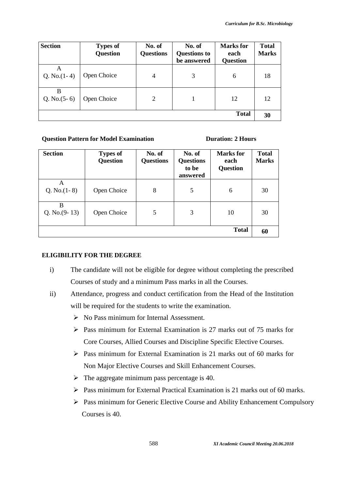| <b>Section</b>      | <b>Types of</b><br><b>Question</b> | No. of<br><b>Questions</b> | No. of<br><b>Questions to</b><br>be answered | <b>Marks</b> for<br>each<br><b>Question</b> | <b>Total</b><br><b>Marks</b> |
|---------------------|------------------------------------|----------------------------|----------------------------------------------|---------------------------------------------|------------------------------|
| A<br>Q. No. $(1-4)$ | Open Choice                        | $\overline{4}$             | 3                                            | 6                                           | 18                           |
| в<br>Q. No. $(5-6)$ | Open Choice                        | 2                          |                                              | 12                                          | 12                           |
|                     |                                    |                            |                                              | <b>Total</b>                                | 30                           |

#### **Question Pattern for Model Examination Duration: 2 Hours**

| <b>Section</b>       | <b>Types of</b><br><b>Question</b> | No. of<br><b>Questions</b> | No. of<br><b>Questions</b><br>to be<br>answered | <b>Marks</b> for<br>each<br><b>Question</b> | <b>Total</b><br><b>Marks</b> |
|----------------------|------------------------------------|----------------------------|-------------------------------------------------|---------------------------------------------|------------------------------|
| A<br>Q. No. $(1-8)$  | Open Choice                        | 8                          | 5                                               | 6                                           | 30                           |
| B<br>Q. No. $(9-13)$ | Open Choice                        | 5                          | 3                                               | 10                                          | 30                           |
|                      |                                    |                            |                                                 | <b>Total</b>                                | 60                           |

# **ELIGIBILITY FOR THE DEGREE**

- i) The candidate will not be eligible for degree without completing the prescribed Courses of study and a minimum Pass marks in all the Courses.
- ii) Attendance, progress and conduct certification from the Head of the Institution will be required for the students to write the examination.
	- $\triangleright$  No Pass minimum for Internal Assessment.
	- Pass minimum for External Examination is 27 marks out of 75 marks for Core Courses, Allied Courses and Discipline Specific Elective Courses.
	- $\triangleright$  Pass minimum for External Examination is 21 marks out of 60 marks for Non Major Elective Courses and Skill Enhancement Courses.
	- $\triangleright$  The aggregate minimum pass percentage is 40.
	- $\triangleright$  Pass minimum for External Practical Examination is 21 marks out of 60 marks.
	- Pass minimum for Generic Elective Course and Ability Enhancement Compulsory Courses is 40.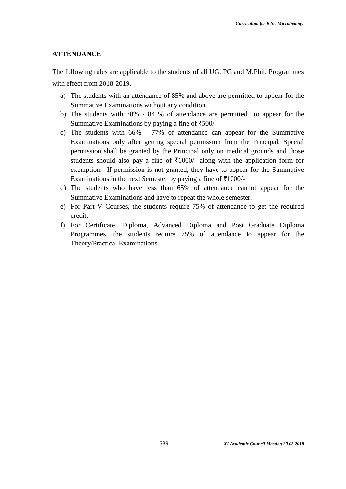#### **ATTENDANCE**

The following rules are applicable to the students of all UG, PG and M.Phil. Programmes

with effect from 2018-2019.

- a) The students with an attendance of 85% and above are permitted to appear for the Summative Examinations without any condition.
- b) The students with 78% 84 % of attendance are permitted to appear for the Summative Examinations by paying a fine of  $\text{\textsterling}500/-$
- c) The students with 66% 77% of attendance can appear for the Summative Examinations only after getting special permission from the Principal. Special permission shall be granted by the Principal only on medical grounds and those students should also pay a fine of  $\overline{\xi}1000$ /- along with the application form for exemption. If permission is not granted, they have to appear for the Summative Examinations in the next Semester by paying a fine of  $\overline{\tau}1000/-$
- d) The students who have less than 65% of attendance cannot appear for the Summative Examinations and have to repeat the whole semester.
- e) For Part V Courses, the students require 75% of attendance to get the required credit.
- f) For Certificate, Diploma, Advanced Diploma and Post Graduate Diploma Programmes, the students require 75% of attendance to appear for the Theory/Practical Examinations.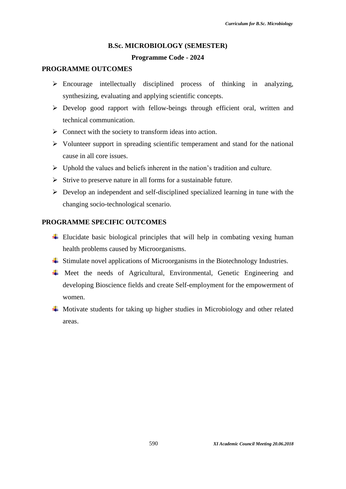#### **B.Sc. MICROBIOLOGY (SEMESTER)**

#### **Programme Code - 2024**

#### **PROGRAMME OUTCOMES**

- $\triangleright$  Encourage intellectually disciplined process of thinking in analyzing, synthesizing, evaluating and applying scientific concepts.
- $\triangleright$  Develop good rapport with fellow-beings through efficient oral, written and technical communication.
- $\triangleright$  Connect with the society to transform ideas into action.
- $\triangleright$  Volunteer support in spreading scientific temperament and stand for the national cause in all core issues.
- $\triangleright$  Uphold the values and beliefs inherent in the nation's tradition and culture.
- $\triangleright$  Strive to preserve nature in all forms for a sustainable future.
- $\triangleright$  Develop an independent and self-disciplined specialized learning in tune with the changing socio-technological scenario.

#### **PROGRAMME SPECIFIC OUTCOMES**

- $\overline{\phantom{a}}$  Elucidate basic biological principles that will help in combating vexing human health problems caused by Microorganisms.
- $\overline{\phantom{a}}$  Stimulate novel applications of Microorganisms in the Biotechnology Industries.
- $\overline{\text{M}}$  Meet the needs of Agricultural, Environmental, Genetic Engineering and developing Bioscience fields and create Self-employment for the empowerment of women.
- $\overline{\text{+}}$  Motivate students for taking up higher studies in Microbiology and other related areas.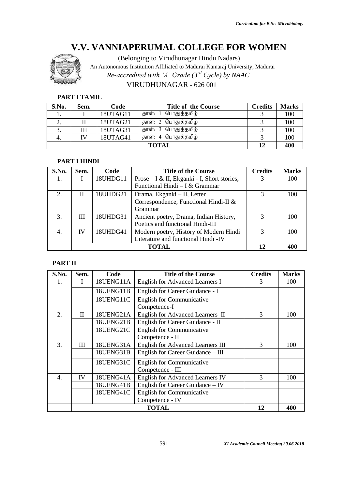

(Belonging to Virudhunagar Hindu Nadars)

An Autonomous Institution Affiliated to Madurai Kamaraj University, Madurai

*Re-accredited with 'A' Grade (3rd Cycle) by NAAC*

# VIRUDHUNAGAR - 626 001

#### **PART I TAMIL**

| S.No. | Sem.         | Code     | <b>Title of the Course</b> | <b>Credits</b> | <b>Marks</b> |
|-------|--------------|----------|----------------------------|----------------|--------------|
|       |              | 18UTAG11 | தாள்: 1 பொதுத்தமிழ்        |                | 100          |
|       |              | 18UTAG21 | தாள்: 2 பொதுத்தமிழ்        |                | 100          |
| 3.    | Ш            | 18UTAG31 | தாள்: 3 பொதுத்தமிழ்        |                | 100          |
|       | IV           | 18UTAG41 | தாள்: 4 பொதுத்தமிழ்        |                | 100          |
|       | <b>TOTAL</b> |          |                            |                | 400          |

#### **PART I HINDI**

| S.No.         | Sem. | Code     | <b>Title of the Course</b>                  | <b>Credits</b> | <b>Marks</b> |
|---------------|------|----------|---------------------------------------------|----------------|--------------|
|               |      | 18UHDG11 | Prose – I & II, Ekganki - I, Short stories, | 3              | 100          |
|               |      |          | Functional Hindi - I & Grammar              |                |              |
| $\mathcal{D}$ | П    | 18UHDG21 | Drama, Ekganki – II, Letter                 | 3              | 100          |
|               |      |          | Correspondence, Functional Hindi-II &       |                |              |
|               |      |          | Grammar                                     |                |              |
| 3.            | Ш    | 18UHDG31 | Ancient poetry, Drama, Indian History,      | 3              | 100          |
|               |      |          | Poetics and functional Hindi-III            |                |              |
|               | IV   | 18UHDG41 | Modern poetry, History of Modern Hindi      | 3              | 100          |
|               |      |          | Literature and functional Hindi -IV         |                |              |
|               |      |          | TOTAL                                       | 12             | 400          |

#### **PART II**

| S.No.            | Sem. | Code      | <b>Title of the Course</b>               | <b>Credits</b> | <b>Marks</b> |
|------------------|------|-----------|------------------------------------------|----------------|--------------|
| 1.               | Ι    | 18UENG11A | <b>English for Advanced Learners I</b>   | 3              | 100          |
|                  |      | 18UENG11B | English for Career Guidance - I          |                |              |
|                  |      | 18UENG11C | <b>English for Communicative</b>         |                |              |
|                  |      |           | Competence-I                             |                |              |
| 2.               | П    | 18UENG21A | English for Advanced Learners II         | 3              | 100          |
|                  |      | 18UENG21B | English for Career Guidance - II         |                |              |
|                  |      | 18UENG21C | <b>English for Communicative</b>         |                |              |
|                  |      |           | Competence - II                          |                |              |
| 3.               | Ш    | 18UENG31A | <b>English for Advanced Learners III</b> | 3              | 100          |
|                  |      | 18UENG31B | English for Career Guidance - III        |                |              |
|                  |      | 18UENG31C | <b>English for Communicative</b>         |                |              |
|                  |      |           | Competence - III                         |                |              |
| $\overline{4}$ . | IV   | 18UENG41A | <b>English for Advanced Learners IV</b>  | 3              | 100          |
|                  |      | 18UENG41B | English for Career Guidance - IV         |                |              |
|                  |      | 18UENG41C | <b>English for Communicative</b>         |                |              |
|                  |      |           | Competence - IV                          |                |              |
|                  |      |           | <b>TOTAL</b>                             | 12             | 400          |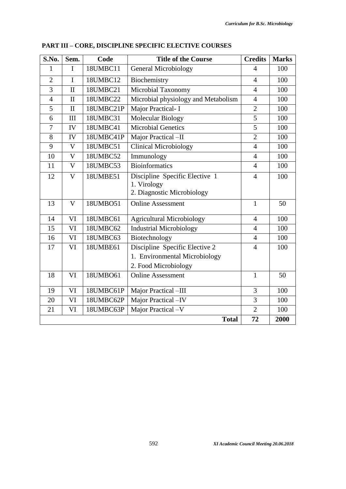| S.No.          | Sem.                    | Code      | <b>Title of the Course</b>                                                              | <b>Credits</b> | <b>Marks</b> |
|----------------|-------------------------|-----------|-----------------------------------------------------------------------------------------|----------------|--------------|
| $\mathbf{1}$   | $\mathbf I$             | 18UMBC11  | <b>General Microbiology</b>                                                             | $\overline{4}$ | 100          |
| $\overline{2}$ | $\mathbf I$             | 18UMBC12  | Biochemistry                                                                            | $\overline{4}$ | 100          |
| 3              | $\mathbf{I}$            | 18UMBC21  | Microbial Taxonomy                                                                      | $\overline{4}$ | 100          |
| $\overline{4}$ | $\mathbf{I}$            | 18UMBC22  | Microbial physiology and Metabolism                                                     | $\overline{4}$ | 100          |
| 5              | $\mathbf{I}$            | 18UMBC21P | Major Practical- I                                                                      | $\overline{2}$ | 100          |
| 6              | III                     | 18UMBC31  | Molecular Biology                                                                       | 5              | 100          |
| $\overline{7}$ | IV                      | 18UMBC41  | <b>Microbial Genetics</b>                                                               | $\overline{5}$ | 100          |
| 8              | IV                      | 18UMBC41P | Major Practical -II                                                                     | $\overline{2}$ | 100          |
| 9              | $\mathbf{V}$            | 18UMBC51  | <b>Clinical Microbiology</b>                                                            | $\overline{4}$ | 100          |
| 10             | $\mathbf V$             | 18UMBC52  | Immunology                                                                              | $\overline{4}$ | 100          |
| 11             | $\mathbf V$             | 18UMBC53  | <b>Bioinformatics</b>                                                                   | $\overline{4}$ | 100          |
| 12             | $\overline{\mathsf{V}}$ | 18UMBE51  | Discipline Specific Elective 1<br>1. Virology<br>2. Diagnostic Microbiology             | $\overline{4}$ | 100          |
| 13             | $\overline{\mathsf{V}}$ | 18UMB051  | <b>Online Assessment</b>                                                                | $\mathbf{1}$   | 50           |
| 14             | VI                      | 18UMBC61  | <b>Agricultural Microbiology</b>                                                        | $\overline{4}$ | 100          |
| 15             | VI                      | 18UMBC62  | <b>Industrial Microbiology</b>                                                          | $\overline{4}$ | 100          |
| 16             | VI                      | 18UMBC63  | Biotechnology                                                                           | $\overline{4}$ | 100          |
| 17             | VI                      | 18UMBE61  | Discipline Specific Elective 2<br>1. Environmental Microbiology<br>2. Food Microbiology | $\overline{4}$ | 100          |
| 18             | VI                      | 18UMBO61  | <b>Online Assessment</b>                                                                | $\mathbf{1}$   | 50           |
| 19             | VI                      | 18UMBC61P | Major Practical -III                                                                    | $\overline{3}$ | 100          |
| 20             | VI                      | 18UMBC62P | Major Practical -IV                                                                     | 3              | 100          |
| 21             | VI                      | 18UMBC63P | Major Practical -V                                                                      | $\overline{2}$ | 100          |
|                |                         |           | <b>Total</b>                                                                            | 72             | 2000         |

| <b>PART III – CORE, DISCIPLINE SPECIFIC ELECTIVE COURSES</b> |
|--------------------------------------------------------------|
|--------------------------------------------------------------|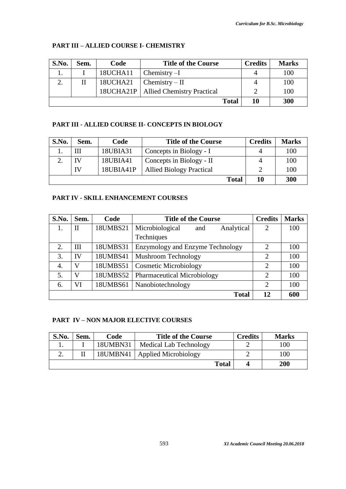# **PART III – ALLIED COURSE I- CHEMISTRY**

| S.No. | Sem. | Code     | <b>Title of the Course</b>             | <b>Credits</b> | <b>Marks</b> |
|-------|------|----------|----------------------------------------|----------------|--------------|
|       |      | 18UCHA11 | $Chemistry-I$                          |                | 100          |
|       |      | 18UCHA21 | $\Gamma$ Chemistry – II                |                | 100          |
|       |      |          | 18UCHA21P   Allied Chemistry Practical |                | 100          |
|       |      |          | <b>Total</b>                           | 10             | 300          |

# **PART III - ALLIED COURSE II- CONCEPTS IN BIOLOGY**

| S.No. | Sem. | Code      | <b>Title of the Course</b>      | <b>Credits</b> | <b>Marks</b> |
|-------|------|-----------|---------------------------------|----------------|--------------|
|       | Ш    | 18UBIA31  | Concepts in Biology - I         | Δ              | 100          |
|       | IV   | 18UBIA41  | Concepts in Biology - II        | Δ              | 100          |
|       | IV   | 18UBIA41P | <b>Allied Biology Practical</b> |                | 100          |
|       |      |           | <b>Total</b>                    | 10             | 300          |

# **PART IV - SKILL ENHANCEMENT COURSES**

| S.No. | Sem.         | Code     | <b>Title of the Course</b>           | <b>Credits</b> | <b>Marks</b> |
|-------|--------------|----------|--------------------------------------|----------------|--------------|
|       | $\mathbf{I}$ | 18UMBS21 | Microbiological<br>Analytical<br>and | $\overline{2}$ | 100          |
|       |              |          | Techniques                           |                |              |
| 2.    | Ш            | 18UMBS31 | Enzymology and Enzyme Technology     | $\overline{2}$ | 100          |
| 3.    | IV           | 18UMBS41 | Mushroom Technology                  | $\overline{2}$ | 100          |
| 4.    | V            | 18UMBS51 | <b>Cosmetic Microbiology</b>         | $\overline{2}$ | 100          |
| 5.    | $\mathbf{V}$ | 18UMBS52 | Pharmaceutical Microbiology          | $\mathfrak{D}$ | 100          |
| 6.    | VI           | 18UMBS61 | Nanobiotechnology                    | $\overline{2}$ | 100          |
|       |              |          | <b>Total</b>                         | 12             | 600          |

# **PART IV – NON MAJOR ELECTIVE COURSES**

| S.No.      | Sem. | Code     | <b>Title of the Course</b>      | <b>Credits</b> | <b>Marks</b> |
|------------|------|----------|---------------------------------|----------------|--------------|
|            |      | 18UMBN31 | Medical Lab Technology          |                | 100          |
| <u>، ،</u> |      |          | 18UMBN41   Applied Microbiology |                | 100          |
|            |      |          | <b>Total</b>                    |                | 200          |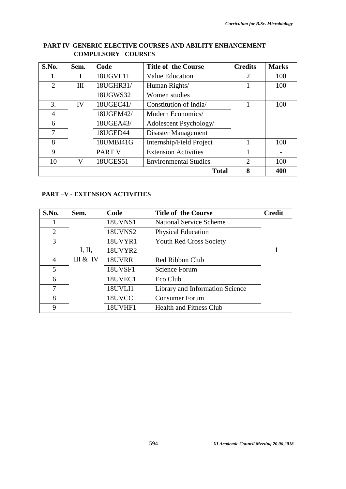| S.No.          | Sem.         | Code          | <b>Title of the Course</b>   | <b>Credits</b> | <b>Marks</b> |
|----------------|--------------|---------------|------------------------------|----------------|--------------|
| 1.             | $\mathbf{I}$ | 18UGVE11      | <b>Value Education</b>       | $\overline{2}$ | 100          |
| 2              | III          | 18UGHR31/     | Human Rights/                |                | 100          |
|                |              | 18UGWS32      | Women studies                |                |              |
| 3.             | IV           | 18UGEC41/     | Constitution of India        |                | 100          |
| $\overline{4}$ |              | 18UGEM42/     | Modern Economics/            |                |              |
| 6              |              | 18UGEA43/     | Adolescent Psychology/       |                |              |
| 7              |              | 18UGED44      | Disaster Management          |                |              |
| 8              |              | 18UMBI41G     | Internship/Field Project     |                | 100          |
| 9              |              | <b>PART V</b> | <b>Extension Activities</b>  |                |              |
| 10             | V            | 18UGES51      | <b>Environmental Studies</b> | $\overline{2}$ | 100          |
|                |              |               | <b>Total</b>                 | 8              | 400          |

# **PART IV–GENERIC ELECTIVE COURSES AND ABILITY ENHANCEMENT COMPULSORY COURSES**

# **PART –V - EXTENSION ACTIVITIES**

| S.No.          | Sem.     | Code           | <b>Title of the Course</b>      | <b>Credit</b> |
|----------------|----------|----------------|---------------------------------|---------------|
| 1              |          | <b>18UVNS1</b> | <b>National Service Scheme</b>  |               |
| $\overline{2}$ |          | <b>18UVNS2</b> | <b>Physical Education</b>       |               |
| 3              |          | 18UVYR1        | <b>Youth Red Cross Society</b>  |               |
|                | I, II,   | 18UVYR2        |                                 |               |
| 4              | III & IV | 18UVRR1        | Red Ribbon Club                 |               |
| 5              |          | 18UVSF1        | Science Forum                   |               |
| 6              |          | 18UVEC1        | Eco Club                        |               |
| 7              |          | 18UVLI1        | Library and Information Science |               |
| 8              |          | 18UVCC1        | <b>Consumer Forum</b>           |               |
| 9              |          | 18UVHF1        | <b>Health and Fitness Club</b>  |               |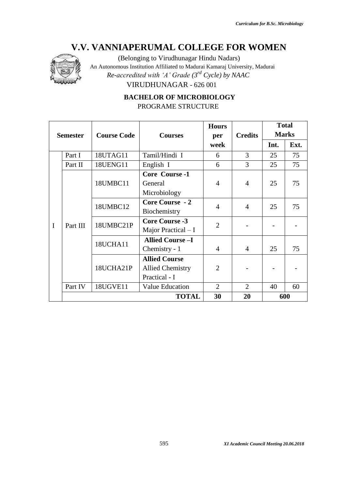

(Belonging to Virudhunagar Hindu Nadars)

An Autonomous Institution Affiliated to Madurai Kamaraj University, Madurai

*Re-accredited with 'A' Grade (3rd Cycle) by NAAC*

VIRUDHUNAGAR - 626 001

 **BACHELOR OF MICROBIOLOGY** PROGRAME STRUCTURE

|   |                 |                    |                         | <b>Hours</b>   |                | <b>Total</b> |              |
|---|-----------------|--------------------|-------------------------|----------------|----------------|--------------|--------------|
|   | <b>Semester</b> | <b>Course Code</b> | <b>Courses</b>          | per            | <b>Credits</b> |              | <b>Marks</b> |
|   |                 |                    |                         | week           |                | Int.         | Ext.         |
|   | Part I          | 18UTAG11           | Tamil/Hindi I           | 6              | 3              | 25           | 75           |
|   | Part II         | 18UENG11           | English I               | 6              | 3              | 25           | 75           |
|   |                 |                    | Core Course -1          |                |                |              |              |
|   |                 | 18UMBC11           | General                 | $\overline{4}$ | 4              | 25           | 75           |
|   | Part III        |                    | Microbiology            |                |                |              |              |
|   |                 | 18UMBC12           | Core Course - 2         | $\overline{4}$ | 4              | 25           | 75           |
|   |                 |                    | Biochemistry            |                |                |              |              |
| I |                 | 18UMBC21P          | <b>Core Course -3</b>   | $\overline{2}$ |                |              |              |
|   |                 |                    | Major Practical $-I$    |                |                |              |              |
|   |                 | 18UCHA11           | <b>Allied Course -I</b> |                |                |              |              |
|   |                 |                    | Chemistry - 1           | $\overline{4}$ | 4              | 25           | 75           |
|   |                 |                    | <b>Allied Course</b>    |                |                |              |              |
|   |                 | 18UCHA21P          | <b>Allied Chemistry</b> | 2              |                |              |              |
|   |                 |                    | Practical - I           |                |                |              |              |
|   | Part IV         | <b>18UGVE11</b>    | <b>Value Education</b>  | 2              | 2              | 40           | 60           |
|   |                 |                    | <b>TOTAL</b>            | 30             | 20             |              | 600          |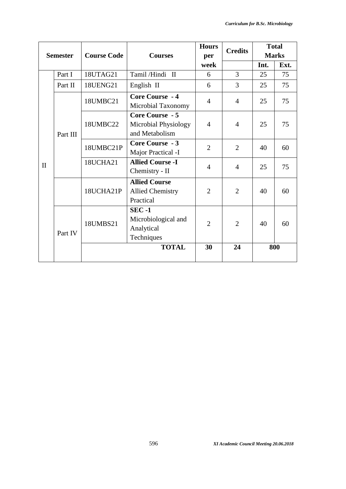|              |                 |                    |                                                                 | <b>Hours</b>   | <b>Credits</b> | <b>Total</b> |              |
|--------------|-----------------|--------------------|-----------------------------------------------------------------|----------------|----------------|--------------|--------------|
|              | <b>Semester</b> | <b>Course Code</b> | <b>Courses</b>                                                  | per            |                |              | <b>Marks</b> |
|              |                 |                    |                                                                 | week           |                | Int.         | Ext.         |
|              | Part I          | 18UTAG21           | Tamil/Hindi II                                                  | 6              | $\overline{3}$ | 25           | 75           |
|              | Part II         | 18UENG21           | English II                                                      | 6              | 3              | 25           | 75           |
|              |                 | 18UMBC21           | Core Course - 4<br>Microbial Taxonomy                           | $\overline{4}$ | $\overline{4}$ | 25           | 75           |
|              | Part III        | 18UMBC22           | Core Course - 5<br>Microbial Physiology<br>and Metabolism       | $\overline{4}$ | $\overline{4}$ | 25           | 75           |
|              |                 | 18UMBC21P          | <b>Core Course - 3</b><br>Major Practical -I                    | $\overline{2}$ | $\overline{2}$ | 40           | 60           |
| $\mathbf{I}$ |                 | 18UCHA21           | <b>Allied Course -I</b><br>Chemistry - II                       | $\overline{4}$ | $\overline{4}$ | 25           | 75           |
|              |                 | 18UCHA21P          | <b>Allied Course</b><br><b>Allied Chemistry</b><br>Practical    | $\overline{2}$ | $\overline{2}$ | 40           | 60           |
|              | Part IV         | 18UMBS21           | <b>SEC-1</b><br>Microbiological and<br>Analytical<br>Techniques | $\overline{2}$ | $\overline{2}$ | 40           | 60           |
|              |                 |                    | <b>TOTAL</b>                                                    | 30             | 24             |              | 800          |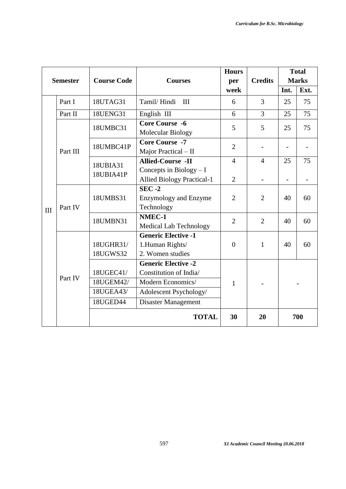|     |                 |                                                 |                                                                                                                                   | <b>Hours</b>   |                | <b>Total</b> |              |
|-----|-----------------|-------------------------------------------------|-----------------------------------------------------------------------------------------------------------------------------------|----------------|----------------|--------------|--------------|
|     | <b>Semester</b> | <b>Course Code</b>                              | <b>Courses</b>                                                                                                                    | per            | <b>Credits</b> |              | <b>Marks</b> |
|     |                 |                                                 |                                                                                                                                   | week           |                | Int.         | Ext.         |
|     | Part I          | 18UTAG31                                        | Tamil/Hindi<br>III                                                                                                                | 6              | 3              | 25           | 75           |
|     | Part II         | 18UENG31                                        | English III                                                                                                                       | 6              | 3              | 25           | 75           |
|     |                 | 18UMBC31                                        | <b>Core Course -6</b><br>Molecular Biology                                                                                        | 5              | 5              | 25           | 75           |
|     | Part III        | 18UMBC41P                                       | <b>Core Course -7</b><br>Major Practical - II                                                                                     | $\overline{2}$ |                |              |              |
|     |                 | 18UBIA31                                        | <b>Allied-Course -II</b>                                                                                                          | $\overline{4}$ | $\overline{4}$ | 25           | 75           |
|     |                 | 18UBIA41P                                       | Concepts in Biology $-I$<br><b>Allied Biology Practical-1</b>                                                                     | $\overline{2}$ |                |              |              |
| III | Part IV         | 18UMBS31                                        | $SEC -2$<br><b>Enzymology and Enzyme</b><br>Technology                                                                            | $\overline{2}$ | $\overline{2}$ | 40           | 60           |
|     |                 | 18UMBN31                                        | NMEC-1<br><b>Medical Lab Technology</b>                                                                                           | $\overline{2}$ | $\overline{2}$ | 40           | 60           |
|     |                 | 18UGHR31/<br>18UGWS32                           | <b>Generic Elective -1</b><br>1.Human Rights/<br>2. Women studies                                                                 | $\theta$       | $\mathbf{1}$   | 40           | 60           |
|     | Part IV         | 18UGEC41/<br>18UGEM42/<br>18UGEA43/<br>18UGED44 | <b>Generic Elective -2</b><br>Constitution of India/<br>Modern Economics/<br>Adolescent Psychology/<br><b>Disaster Management</b> | 1              |                |              |              |
|     |                 |                                                 | <b>TOTAL</b>                                                                                                                      | 30             | 20             |              | 700          |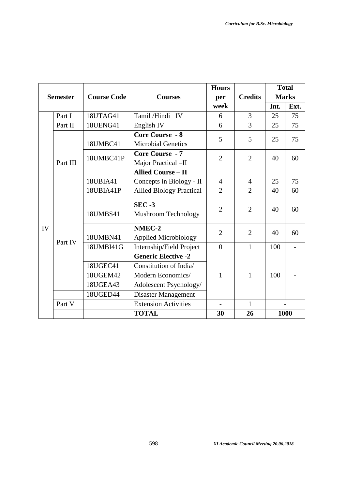|    |                 |                    |                                 | <b>Hours</b>   |                |      | <b>Total</b>      |
|----|-----------------|--------------------|---------------------------------|----------------|----------------|------|-------------------|
|    | <b>Semester</b> | <b>Course Code</b> | <b>Courses</b>                  | per            | <b>Credits</b> |      | <b>Marks</b>      |
|    |                 |                    |                                 | week           |                | Int. | Ext.              |
|    | Part I          | 18UTAG41           | Tamil/Hindi IV                  | 6              | $\overline{3}$ | 25   | 75                |
|    | Part II         | <b>18UENG41</b>    | English IV                      | 6              | $\overline{3}$ | 25   | 75                |
|    |                 |                    | <b>Core Course - 8</b>          | 5              | 5              | 25   | 75                |
|    |                 | 18UMBC41           | <b>Microbial Genetics</b>       |                |                |      |                   |
|    |                 | 18UMBC41P          | <b>Core Course - 7</b>          | $\overline{2}$ | $\overline{2}$ | 40   | 60                |
|    | Part III        |                    | Major Practical -II             |                |                |      |                   |
|    |                 |                    | <b>Allied Course - II</b>       |                |                |      |                   |
|    |                 | 18UBIA41           | Concepts in Biology - II        | $\overline{4}$ | $\overline{4}$ | 25   | 75                |
|    |                 | 18UBIA41P          | <b>Allied Biology Practical</b> | $\overline{2}$ | $\overline{2}$ | 40   | 60                |
|    |                 | 18UMBS41           | $SEC -3$<br>Mushroom Technology | $\overline{2}$ | $\overline{2}$ | 40   | 60                |
| IV |                 |                    | NMEC-2                          | $\overline{2}$ | $\overline{2}$ | 40   | 60                |
|    | Part IV         | 18UMBN41           | <b>Applied Microbiology</b>     |                |                |      |                   |
|    |                 | 18UMBI41G          | Internship/Field Project        | $\overline{0}$ | $\mathbf{1}$   | 100  | $\qquad \qquad -$ |
|    |                 |                    | <b>Generic Elective -2</b>      |                |                |      |                   |
|    |                 | 18UGEC41           | Constitution of India/          |                |                |      |                   |
|    |                 | 18UGEM42           | Modern Economics/               | 1              | 1              | 100  |                   |
|    |                 | <b>18UGEA43</b>    | Adolescent Psychology/          |                |                |      |                   |
|    |                 | 18UGED44           | Disaster Management             |                |                |      |                   |
|    | Part V          |                    | <b>Extension Activities</b>     |                | $\mathbf{1}$   |      |                   |
|    |                 |                    | <b>TOTAL</b>                    | 30             | 26             |      | 1000              |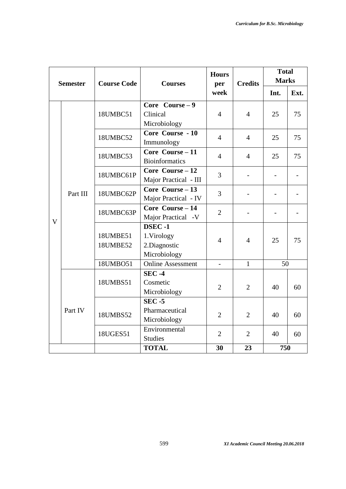|                         | <b>Semester</b> | <b>Course Code</b><br><b>Courses</b> |                                                             | <b>Hours</b><br>per | <b>Credits</b> | <b>Total</b><br><b>Marks</b> |      |
|-------------------------|-----------------|--------------------------------------|-------------------------------------------------------------|---------------------|----------------|------------------------------|------|
|                         |                 |                                      |                                                             | week                |                | Int.                         | Ext. |
|                         |                 | 18UMBC51                             | Core Course $-9$                                            |                     |                |                              |      |
|                         |                 |                                      | Clinical<br>Microbiology                                    | $\overline{4}$      | $\overline{4}$ | 25                           | 75   |
|                         |                 | 18UMBC52                             | Core Course - 10<br>Immunology                              | $\overline{4}$      | $\overline{4}$ | 25                           | 75   |
|                         |                 | 18UMBC53                             | Core Course - 11<br><b>Bioinformatics</b>                   | $\overline{4}$      | $\overline{4}$ | 25                           | 75   |
|                         | Part III        | 18UMBC61P                            | Core Course - 12<br>Major Practical - III                   | 3                   |                |                              |      |
|                         |                 | 18UMBC62P                            | Core Course - 13<br>Major Practical - IV                    | 3                   |                |                              |      |
| $\overline{\mathsf{V}}$ |                 | 18UMBC63P                            | Core Course - 14<br>Major Practical -V                      | $\overline{2}$      |                |                              |      |
|                         |                 | 18UMBE51<br>18UMBE52                 | <b>DSEC-1</b><br>1.Virology<br>2.Diagnostic<br>Microbiology | $\overline{4}$      | $\overline{4}$ | 25                           | 75   |
|                         |                 | 18UMBO51                             | Online Assessment                                           | $\overline{a}$      | $\mathbf{1}$   | 50                           |      |
|                         |                 | 18UMBS51                             | <b>SEC-4</b><br>Cosmetic<br>Microbiology                    | $\overline{2}$      | $\overline{2}$ | 40                           | 60   |
|                         | Part IV         | 18UMBS52                             | $SEC - 5$<br>Pharmaceutical<br>Microbiology                 | $\overline{2}$      | $\overline{2}$ | 40                           | 60   |
|                         |                 | 18UGES51                             | Environmental<br><b>Studies</b>                             | $\overline{2}$      | $\overline{2}$ | 40                           | 60   |
|                         |                 |                                      | <b>TOTAL</b>                                                | 30                  | 23             | 750                          |      |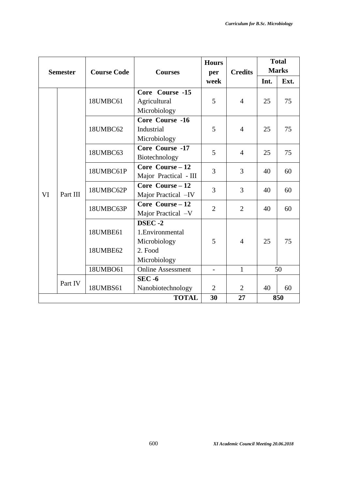| <b>Semester</b> |          | <b>Course Code</b><br><b>Courses</b> |                          | <b>Hours</b><br>per      | <b>Credits</b> | <b>Total</b><br><b>Marks</b> |      |
|-----------------|----------|--------------------------------------|--------------------------|--------------------------|----------------|------------------------------|------|
|                 |          |                                      |                          | week                     |                | Int.                         | Ext. |
|                 |          |                                      | Core Course -15          |                          |                |                              |      |
|                 |          | 18UMBC61                             | Agricultural             | 5                        | $\overline{4}$ | 25                           | 75   |
|                 |          |                                      | Microbiology             |                          |                |                              |      |
|                 |          |                                      | Core Course -16          |                          |                |                              |      |
|                 |          | 18UMBC62                             | Industrial               | 5                        | $\overline{4}$ | 25                           | 75   |
|                 |          |                                      | Microbiology             |                          |                |                              |      |
|                 |          | 18UMBC63                             | Core Course -17          | 5                        | $\overline{4}$ | 25                           | 75   |
|                 |          |                                      | Biotechnology            |                          |                |                              |      |
|                 |          | 18UMBC61P                            | Core Course $-12$        | 3                        | 3              | 40                           | 60   |
|                 |          |                                      | Major Practical - III    |                          |                |                              |      |
|                 |          | 18UMBC62P                            | Core Course $-12$        | 3                        | 3              | 40                           | 60   |
| VI              | Part III |                                      | Major Practical -IV      |                          |                |                              |      |
|                 |          | 18UMBC63P                            | Core Course $-12$        | $\overline{2}$           | $\overline{2}$ | 40                           | 60   |
|                 |          |                                      | Major Practical -V       |                          |                |                              |      |
|                 |          |                                      | DSEC-2                   |                          |                |                              |      |
|                 |          | 18UMBE61                             | 1. Environmental         |                          |                |                              |      |
|                 |          |                                      | Microbiology             | 5                        | $\overline{4}$ | 25                           | 75   |
|                 |          | 18UMBE62                             | 2. Food                  |                          |                |                              |      |
|                 |          |                                      | Microbiology             |                          |                |                              |      |
|                 |          | 18UMBO61                             | <b>Online Assessment</b> | $\overline{\phantom{0}}$ | $\mathbf{1}$   |                              | 50   |
|                 | Part IV  |                                      | $SEC - 6$                |                          |                |                              |      |
|                 |          | 18UMBS61                             | Nanobiotechnology        | $\overline{2}$           | $\overline{2}$ | 40                           | 60   |
|                 |          |                                      | <b>TOTAL</b>             | 30                       | 27             |                              | 850  |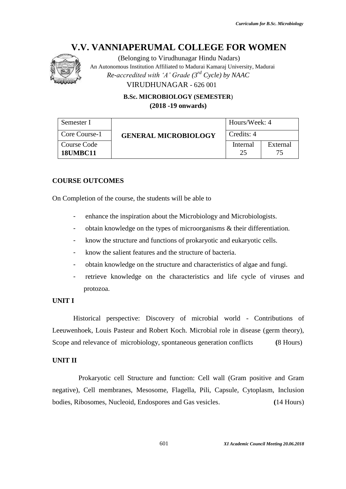

(Belonging to Virudhunagar Hindu Nadars) An Autonomous Institution Affiliated to Madurai Kamaraj University, Madurai *Re-accredited with 'A' Grade (3rd Cycle) by NAAC* VIRUDHUNAGAR - 626 001

> **B.Sc. MICROBIOLOGY (SEMESTER**) **(2018 -19 onwards)**

| Semester I                     |                             | Hours/Week: 4  |                 |  |
|--------------------------------|-----------------------------|----------------|-----------------|--|
| Core Course-1                  | <b>GENERAL MICROBIOLOGY</b> | Credits: 4     |                 |  |
| Course Code<br><b>18UMBC11</b> |                             | Internal<br>25 | External<br>75. |  |

#### **COURSE OUTCOMES**

On Completion of the course, the students will be able to

- enhance the inspiration about the Microbiology and Microbiologists.
- obtain knowledge on the types of microorganisms & their differentiation.
- know the structure and functions of prokaryotic and eukaryotic cells.
- know the salient features and the structure of bacteria.
- obtain knowledge on the structure and characteristics of algae and fungi.
- retrieve knowledge on the characteristics and life cycle of viruses and protozoa.

#### **UNIT I**

Historical perspective: Discovery of microbial world - Contributions of Leeuwenhoek, Louis Pasteur and Robert Koch. Microbial role in disease (germ theory), Scope and relevance of microbiology, spontaneous generation conflicts **(**8 Hours)

#### **UNIT II**

 Prokaryotic cell Structure and function: Cell wall (Gram positive and Gram negative), Cell membranes, Mesosome, Flagella, Pili, Capsule, Cytoplasm, Inclusion bodies, Ribosomes, Nucleoid, Endospores and Gas vesicles. **(**14 Hours)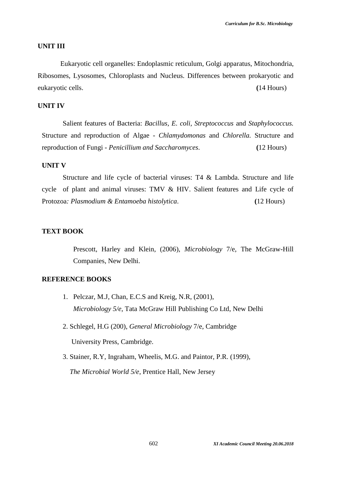#### **UNIT III**

 Eukaryotic cell organelles: Endoplasmic reticulum, Golgi apparatus, Mitochondria, Ribosomes, Lysosomes, Chloroplasts and Nucleus. Differences between prokaryotic and eukaryotic cells. **(**14 Hours)

# **UNIT IV**

Salient features of Bacteria: *Bacillus, E. coli, Streptococcus* and *Staphylococcus.* Structure and reproduction of Algae - *Chlamydomonas* and *Chlorella.* Structure and reproduction of Fungi - *Penicillium and Saccharomyces*. **(**12 Hours)

#### **UNIT V**

Structure and life cycle of bacterial viruses: T4 & Lambda. Structure and life cycle of plant and animal viruses: TMV & HIV. Salient features and Life cycle of Protozoa*: Plasmodium & Entamoeba histolytica*. **(**12 Hours)

#### **TEXT BOOK**

 Prescott, Harley and Klein, (2006), *Microbiology* 7/e, The McGraw-Hill Companies, New Delhi.

#### **REFERENCE BOOKS**

- 1. Pelczar, M.J, Chan, E.C.S and Kreig, N.R, (2001), *Microbiology 5/e*, Tata McGraw Hill Publishing Co Ltd, New Delhi
- 2. Schlegel, H.G (200), *General Microbiology* 7/e, Cambridge University Press, Cambridge.
- 3. Stainer, R.Y, Ingraham, Wheelis, M.G. and Paintor, P.R. (1999),

*The Microbial World 5/e*, Prentice Hall, New Jersey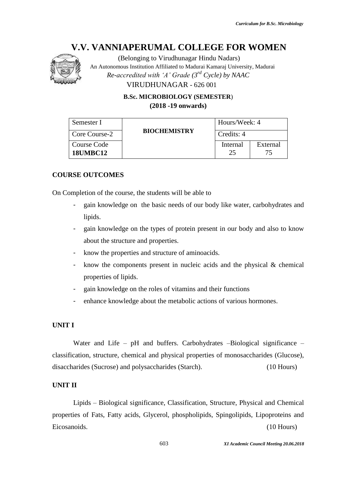

(Belonging to Virudhunagar Hindu Nadars)

An Autonomous Institution Affiliated to Madurai Kamaraj University, Madurai

*Re-accredited with 'A' Grade (3rd Cycle) by NAAC*

VIRUDHUNAGAR - 626 001

**B.Sc. MICROBIOLOGY (SEMESTER**) **(2018 -19 onwards)**

| Semester I                     |                     | Hours/Week: 4  |                |
|--------------------------------|---------------------|----------------|----------------|
| Core Course-2                  | <b>BIOCHEMISTRY</b> | Credits: 4     |                |
| Course Code<br><b>18UMBC12</b> |                     | Internal<br>25 | External<br>75 |

# **COURSE OUTCOMES**

On Completion of the course, the students will be able to

- gain knowledge on the basic needs of our body like water, carbohydrates and lipids.
- gain knowledge on the types of protein present in our body and also to know about the structure and properties.
- know the properties and structure of aminoacids.
- know the components present in nucleic acids and the physical  $\&$  chemical properties of lipids.
- gain knowledge on the roles of vitamins and their functions
- enhance knowledge about the metabolic actions of various hormones.

# **UNIT I**

Water and Life – pH and buffers. Carbohydrates –Biological significance – classification, structure, chemical and physical properties of monosaccharides (Glucose), disaccharides (Sucrose) and polysaccharides (Starch). (10 Hours)

# **UNIT II**

Lipids – Biological significance, Classification, Structure, Physical and Chemical properties of Fats, Fatty acids, Glycerol, phospholipids, Spingolipids, Lipoproteins and Eicosanoids. (10 Hours)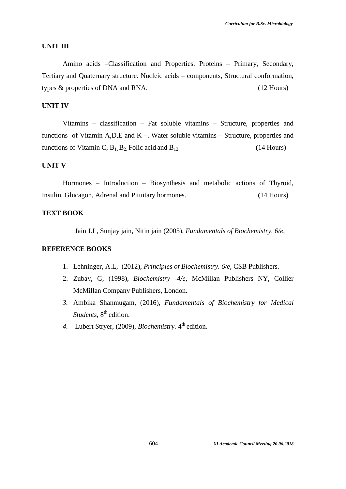#### **UNIT III**

Amino acids –Classification and Properties. Proteins – Primary, Secondary, Tertiary and Quaternary structure. Nucleic acids – components, Structural conformation, types & properties of DNA and RNA. (12 Hours)

# **UNIT IV**

Vitamins – classification – Fat soluble vitamins – Structure, properties and functions of Vitamin A,D,E and K –. Water soluble vitamins – Structure, properties and functions of Vitamin C,  $B_1$ ,  $B_2$ , Folic acid and  $B_{12}$ . (14 Hours)

#### **UNIT V**

Hormones – Introduction – Biosynthesis and metabolic actions of Thyroid, Insulin, Glucagon, Adrenal and Pituitary hormones. **(**14 Hours)

# **TEXT BOOK**

Jain J.L, Sunjay jain, Nitin jain (2005), *Fundamentals of Biochemistry, 6/e*,

#### **REFERENCE BOOKS**

- 1. Lehninger, A.L, (2012), *Principles of Biochemistry. 6/e*, CSB Publishers.
- 2. Zubay, G, (1998), *Biochemistry -4/e,* McMillan Publishers NY, Collier McMillan Company Publishers, London.
- *3.* Ambika Shanmugam, (2016), *Fundamentals of Biochemistry for Medical Students*, 8<sup>th</sup> edition.
- 4. Lubert Stryer, (2009), *Biochemistry*. 4<sup>th</sup> edition.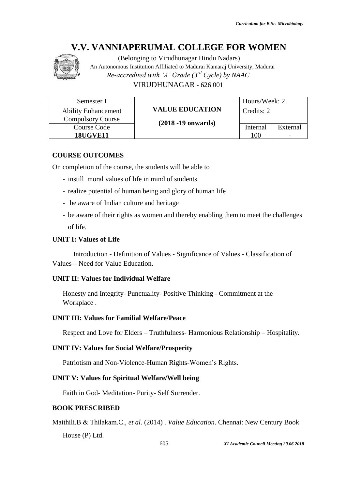

(Belonging to Virudhunagar Hindu Nadars) An Autonomous Institution Affiliated to Madurai Kamaraj University, Madurai *Re-accredited with 'A' Grade (3rd Cycle) by NAAC* VIRUDHUNAGAR - 626 001

| Semester I                 |                        | Hours/Week: 2 |                          |
|----------------------------|------------------------|---------------|--------------------------|
| <b>Ability Enhancement</b> | <b>VALUE EDUCATION</b> | Credits: 2    |                          |
| <b>Compulsory Course</b>   | $(2018 - 19)$ onwards) |               |                          |
| Course Code                |                        | Internal      | External                 |
| <b>18UGVE11</b>            |                        | 100           | $\overline{\phantom{0}}$ |

# **COURSE OUTCOMES**

On completion of the course, the students will be able to

- instill moral values of life in mind of students
- realize potential of human being and glory of human life
- be aware of Indian culture and heritage
- be aware of their rights as women and thereby enabling them to meet the challenges of life.

# **UNIT I: Values of Life**

Introduction - Definition of Values - Significance of Values - Classification of Values – Need for Value Education.

# **UNIT II: Values for Individual Welfare**

Honesty and Integrity- Punctuality- Positive Thinking - Commitment at the Workplace .

# **UNIT III: Values for Familial Welfare/Peace**

Respect and Love for Elders – Truthfulness- Harmonious Relationship – Hospitality.

# **UNIT IV: Values for Social Welfare/Prosperity**

Patriotism and Non-Violence-Human Rights-Women's Rights.

# **UNIT V: Values for Spiritual Welfare/Well being**

Faith in God- Meditation- Purity- Self Surrender.

# **BOOK PRESCRIBED**

Maithili.B & Thilakam.C., *et al.* (2014) . *Value Education*. Chennai: New Century Book House (P) Ltd.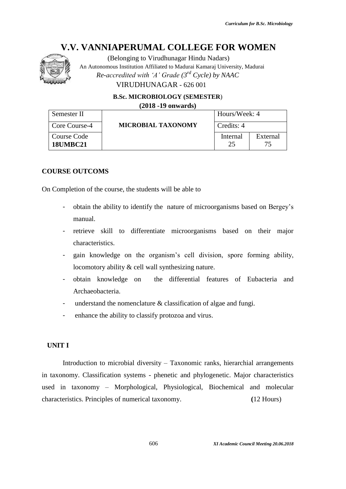

(Belonging to Virudhunagar Hindu Nadars) An Autonomous Institution Affiliated to Madurai Kamaraj University, Madurai *Re-accredited with 'A' Grade (3rd Cycle) by NAAC* VIRUDHUNAGAR - 626 001

**B.Sc. MICROBIOLOGY (SEMESTER**)

**(2018 -19 onwards)**

| Semester II                    |                           | Hours/Week: 4 |                |
|--------------------------------|---------------------------|---------------|----------------|
| Core Course-4                  | <b>MICROBIAL TAXONOMY</b> | Credits: 4    |                |
| Course Code<br><b>18UMBC21</b> |                           | Internal      | External<br>75 |

#### **COURSE OUTCOMS**

On Completion of the course, the students will be able to

- obtain the ability to identify the nature of microorganisms based on Bergey's manual.
- retrieve skill to differentiate microorganisms based on their major characteristics.
- gain knowledge on the organism's cell division, spore forming ability, locomotory ability & cell wall synthesizing nature.
- obtain knowledge on the differential features of Eubacteria and Archaeobacteria.
- understand the nomenclature  $&$  classification of algae and fungi.
- enhance the ability to classify protozoa and virus.

#### **UNIT I**

Introduction to microbial diversity – Taxonomic ranks, hierarchial arrangements in taxonomy. Classification systems - phenetic and phylogenetic. Major characteristics used in taxonomy – Morphological, Physiological, Biochemical and molecular characteristics. Principles of numerical taxonomy. **(**12 Hours)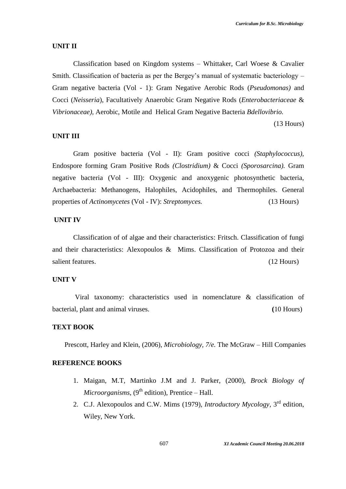#### **UNIT II**

Classification based on Kingdom systems – Whittaker, Carl Woese & Cavalier Smith. Classification of bacteria as per the Bergey's manual of systematic bacteriology – Gram negative bacteria (Vol - 1): Gram Negative Aerobic Rods (*Pseudomonas)* and Cocci (*Neisseria*), Facultatively Anaerobic Gram Negative Rods (*Enterobacteriaceae* & *Vibrionaceae),* Aerobic, Motile and Helical Gram Negative Bacteria *Bdellovibrio.*

(13 Hours)

#### **UNIT III**

Gram positive bacteria (Vol - II): Gram positive cocci *(Staphylococcus),* Endospore forming Gram Positive Rods *(Clostridium)* & Cocci *(Sporosarcina).* Gram negative bacteria (Vol - III): Oxygenic and anoxygenic photosynthetic bacteria, Archaebacteria: Methanogens, Halophiles, Acidophiles, and Thermophiles. General properties of *Actinomycetes* (Vol - IV): *Streptomyces.* (13 Hours)

# **UNIT IV**

Classification of of algae and their characteristics: Fritsch. Classification of fungi and their characteristics: Alexopoulos & Mims. Classification of Protozoa and their salient features. (12 Hours) (12 Hours)

#### **UNIT V**

Viral taxonomy: characteristics used in nomenclature & classification of bacterial, plant and animal viruses. **(**10 Hours)

# **TEXT BOOK**

Prescott, Harley and Klein, (2006), *Microbiology, 7/e.* The McGraw – Hill Companies

#### **REFERENCE BOOKS**

- 1. Maigan, M.T, Martinko J.M and J. Parker, (2000), *Brock Biology of*   $Microorganisms, (9<sup>th</sup> edition), Prentice – Hall.$
- 2. C.J. Alexopoulos and C.W. Mims (1979), *Introductory Mycology*, 3<sup>rd</sup> edition, Wiley, New York.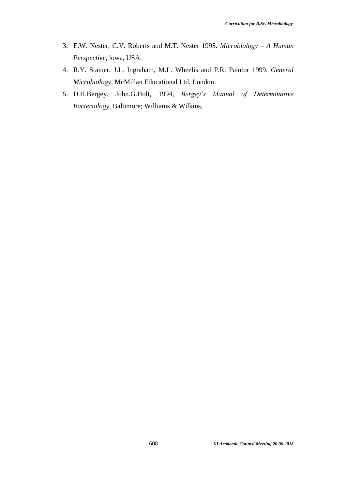- 3. E.W. Nester, C.V. Roberts and M.T. Nester 1995. *Microbiology – A Human Perspective,* lowa, USA.
- 4. R.Y. Stainer, J.L. Ingraham, M.L. Wheelis and P.R. Paintor 1999. *General Microbiology*, McMillan Educational Ltd, London.
- 5. D.H.Bergey, John.G.Holt, 1994, *Bergey's Manual of Determinative Bacteriology*, Baltimore; Williams & Wilkins,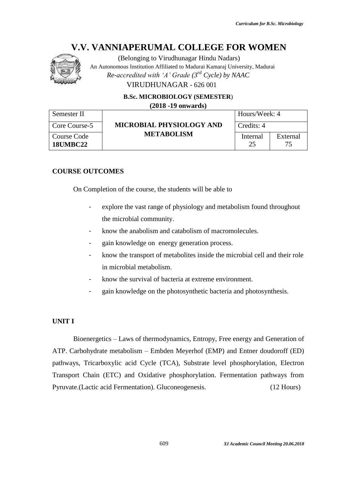

(Belonging to Virudhunagar Hindu Nadars) An Autonomous Institution Affiliated to Madurai Kamaraj University, Madurai *Re-accredited with 'A' Grade (3rd Cycle) by NAAC* VIRUDHUNAGAR - 626 001

**B.Sc. MICROBIOLOGY (SEMESTER**)

**(2018 -19 onwards)**

| Semester II                    |                                               | Hours/Week: 4  |          |
|--------------------------------|-----------------------------------------------|----------------|----------|
| Core Course-5                  | MICROBIAL PHYSIOLOGY AND<br><b>METABOLISM</b> | Credits: 4     |          |
| Course Code<br><b>18UMBC22</b> |                                               | Internal<br>25 | External |

# **COURSE OUTCOMES**

On Completion of the course, the students will be able to

- explore the vast range of physiology and metabolism found throughout the microbial community.
- know the anabolism and catabolism of macromolecules.
- gain knowledge on energy generation process.
- know the transport of metabolites inside the microbial cell and their role in microbial metabolism.
- know the survival of bacteria at extreme environment.
- gain knowledge on the photosynthetic bacteria and photosynthesis.

# **UNIT I**

Bioenergetics – Laws of thermodynamics, Entropy, Free energy and Generation of ATP. Carbohydrate metabolism – Embden Meyerhof (EMP) and Entner doudoroff (ED) pathways, Tricarboxylic acid Cycle (TCA), Substrate level phosphorylation, Electron Transport Chain (ETC) and Oxidative phosphorylation. Fermentation pathways from Pyruvate.(Lactic acid Fermentation). Gluconeogenesis. (12 Hours)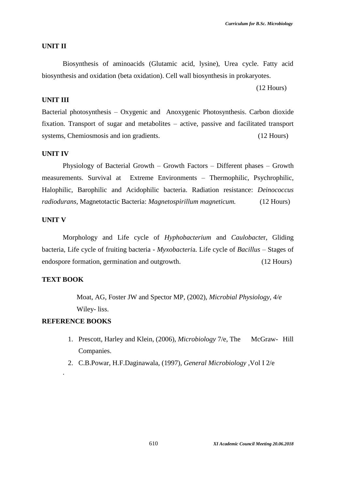#### **UNIT II**

Biosynthesis of aminoacids (Glutamic acid, lysine), Urea cycle. Fatty acid biosynthesis and oxidation (beta oxidation). Cell wall biosynthesis in prokaryotes.

(12 Hours)

# **UNIT III**

Bacterial photosynthesis – Oxygenic and Anoxygenic Photosynthesis. Carbon dioxide fixation. Transport of sugar and metabolites – active, passive and facilitated transport systems, Chemiosmosis and ion gradients. *(12 Hours)* 

# **UNIT IV**

Physiology of Bacterial Growth – Growth Factors – Different phases – Growth measurements. Survival at Extreme Environments – Thermophilic, Psychrophilic, Halophilic, Barophilic and Acidophilic bacteria. Radiation resistance: *Deinococcus radiodurans,* Magnetotactic Bacteria: *Magnetospirillum magneticum.*(12 Hours)

#### **UNIT V**

Morphology and Life cycle of *Hyphobacterium* and *Caulobacte*r, Gliding bacteria, Life cycle of fruiting bacteria - *Myxobacteri*a. Life cycle of *Bacillus* – Stages of endospore formation, germination and outgrowth. (12 Hours)

#### **TEXT BOOK**

.

Moat, AG, Foster JW and Spector MP, (2002), *Microbial Physiology, 4/e* Wiley- liss.

# **REFERENCE BOOKS**

- 1. Prescott, Harley and Klein, (2006), *Microbiology* 7/e, The McGraw- Hill Companies.
- 2. C.B.Powar, H.F.Daginawala, (1997), *General Microbiology* ,Vol I 2/e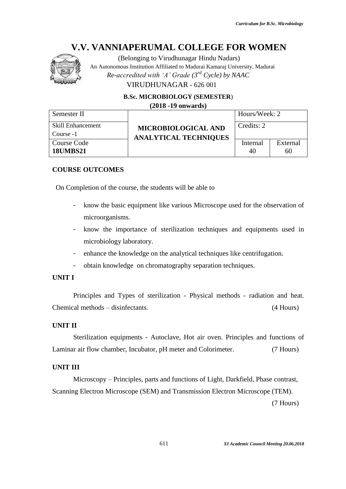

(Belonging to Virudhunagar Hindu Nadars)

An Autonomous Institution Affiliated to Madurai Kamaraj University, Madurai

*Re-accredited with 'A' Grade (3rd Cycle) by NAAC*

VIRUDHUNAGAR - 626 001

**B.Sc. MICROBIOLOGY (SEMESTER**)

**(2018 -19 onwards)**

| Semester II       |                              | Hours/Week: 2 |          |
|-------------------|------------------------------|---------------|----------|
| Skill Enhancement | <b>MICROBIOLOGICAL AND</b>   | Credits: 2    |          |
| Course -1         | <b>ANALYTICAL TECHNIQUES</b> |               |          |
| Course Code       |                              | Internal      | External |
| <b>18UMBS21</b>   |                              | 40            | 60       |

# **COURSE OUTCOMES**

On Completion of the course, the students will be able to

- know the basic equipment like various Microscope used for the observation of microorganisms.
- know the importance of sterilization techniques and equipments used in microbiology laboratory.
- enhance the knowledge on the analytical techniques like centrifugation.
- obtain knowledge on chromatography separation techniques.

# **UNIT I**

Principles and Types of sterilization - Physical methods - radiation and heat. Chemical methods – disinfectants. (4 Hours)

# **UNIT II**

Sterilization equipments - Autoclave, Hot air oven. Principles and functions of Laminar air flow chamber, Incubator, pH meter and Colorimeter. (7 Hours)

# **UNIT III**

Microscopy – Principles, parts and functions of Light, Darkfield, Phase contrast, Scanning Electron Microscope (SEM) and Transmission Electron Microscope (TEM).

(7 Hours)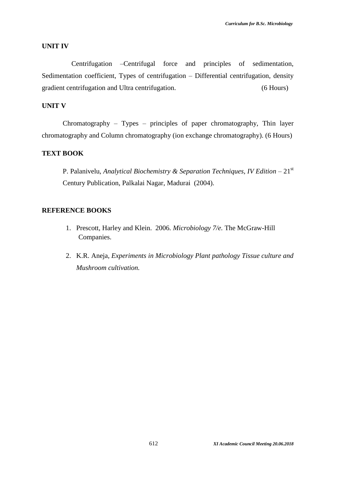#### **UNIT IV**

 Centrifugation –Centrifugal force and principles of sedimentation, Sedimentation coefficient, Types of centrifugation – Differential centrifugation, density gradient centrifugation and Ultra centrifugation. (6 Hours)

# **UNIT V**

Chromatography – Types – principles of paper chromatography, Thin layer chromatography and Column chromatography (ion exchange chromatography). (6 Hours)

### **TEXT BOOK**

P. Palanivelu, *Analytical Biochemistry & Separation Techniques, IV Edition* – 21st Century Publication, Palkalai Nagar, Madurai (2004).

# **REFERENCE BOOKS**

- 1. Prescott, Harley and Klein. 2006. *Microbiology 7/e.* The McGraw-Hill Companies.
- 2. K.R. Aneja, *Experiments in Microbiology Plant pathology Tissue culture and Mushroom cultivation.*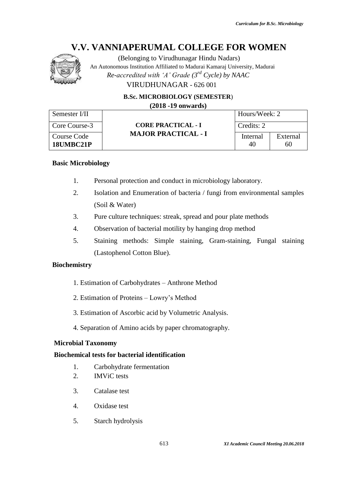

(Belonging to Virudhunagar Hindu Nadars) An Autonomous Institution Affiliated to Madurai Kamaraj University, Madurai *Re-accredited with 'A' Grade (3rd Cycle) by NAAC* VIRUDHUNAGAR - 626 001

**B.Sc. MICROBIOLOGY (SEMESTER**)

**(2018 -19 onwards)**

| Semester I/II            | <b>CORE PRACTICAL - I</b><br><b>MAJOR PRACTICAL - I</b> | Hours/Week: 2  |                |
|--------------------------|---------------------------------------------------------|----------------|----------------|
| Core Course-3            |                                                         | Credits: 2     |                |
| Course Code<br>18UMBC21P |                                                         | Internal<br>40 | External<br>60 |

# **Basic Microbiology**

- 1. Personal protection and conduct in microbiology laboratory.
- 2. Isolation and Enumeration of bacteria / fungi from environmental samples (Soil & Water)
- 3. Pure culture techniques: streak, spread and pour plate methods
- 4. Observation of bacterial motility by hanging drop method
- 5. Staining methods: Simple staining, Gram-staining, Fungal staining (Lastophenol Cotton Blue).

# **Biochemistry**

- 1. Estimation of Carbohydrates Anthrone Method
- 2. Estimation of Proteins Lowry's Method
- 3. Estimation of Ascorbic acid by Volumetric Analysis.
- 4. Separation of Amino acids by paper chromatography.

# **Microbial Taxonomy**

# **Biochemical tests for bacterial identification**

- 1. Carbohydrate fermentation
- 2. IMViC tests
- 3. Catalase test
- 4. Oxidase test
- 5. Starch hydrolysis